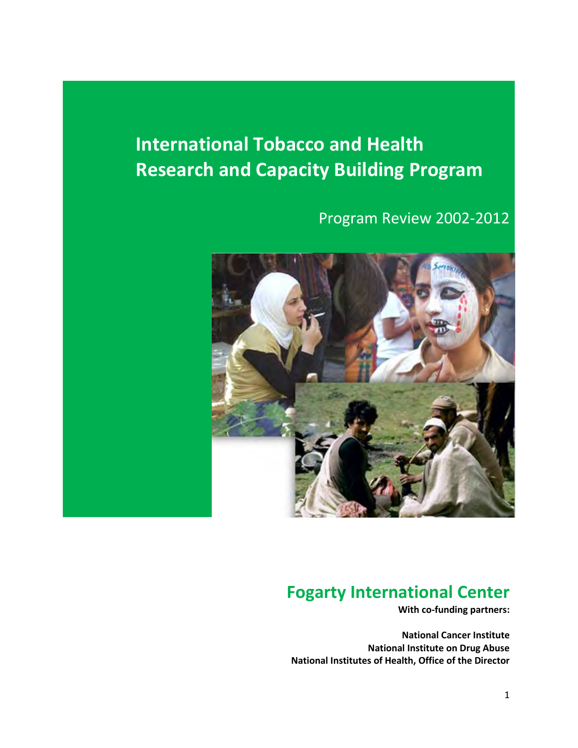# **International Tobacco and Health Research and Capacity Building Program**

# Program Review 2002-2012



# **Fogarty International Center**

**With co-funding partners:**

**National Cancer Institute National Institute on Drug Abuse National Institutes of Health, Office of the Director**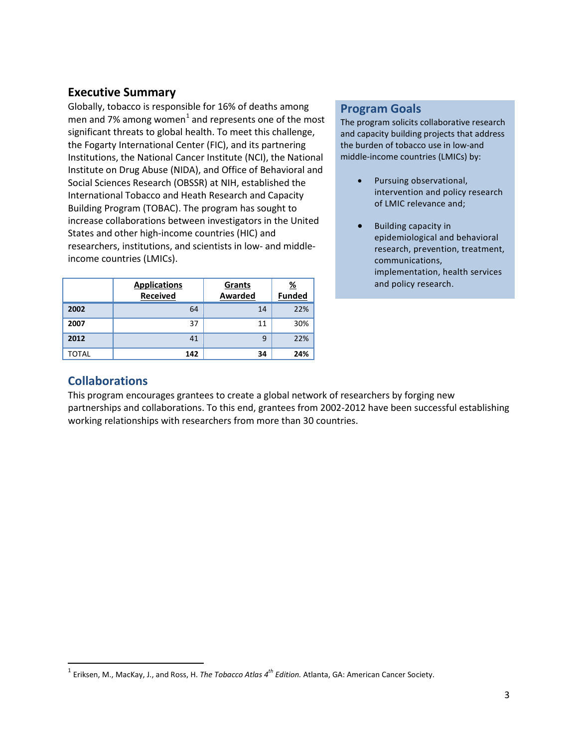## <span id="page-2-0"></span>**Executive Summary**

Globally, tobacco is responsible for 16% of deaths among men and 7% among women $1$  and represents one of the most significant threats to global health. To meet this challenge, the Fogarty International Center (FIC), and its partnering Institutions, the National Cancer Institute (NCI), the National Institute on Drug Abuse (NIDA), and Office of Behavioral and Social Sciences Research (OBSSR) at NIH, established the International Tobacco and Heath Research and Capacity Building Program (TOBAC). The program has sought to increase collaborations between investigators in the United States and other high-income countries (HIC) and researchers, institutions, and scientists in low- and middleincome countries (LMICs).

|       | <b>Applications</b><br><b>Received</b> | Grants<br>Awarded | $\frac{96}{2}$<br><b>Funded</b> |
|-------|----------------------------------------|-------------------|---------------------------------|
| 2002  | 64                                     | 14                | 22%                             |
| 2007  | 37                                     | 11                | 30%                             |
| 2012  | 41                                     | 9                 | 22%                             |
| TOTAL | 142                                    | 34                | 24%                             |

#### **Program Goals**

The program solicits collaborative research and capacity building projects that address the burden of tobacco use in low-and middle-income countries (LMICs) by:

- Pursuing observational, intervention and policy research of LMIC relevance and;
- Building capacity in epidemiological and behavioral research, prevention, treatment, communications, implementation, health services and policy research.

#### **Collaborations**

l

This program encourages grantees to create a global network of researchers by forging new partnerships and collaborations. To this end, grantees from 2002-2012 have been successful establishing working relationships with researchers from more than 30 countries.

<span id="page-2-1"></span><sup>1</sup> Eriksen, M., MacKay, J., and Ross, H. *The Tobacco Atlas 4th Edition.* Atlanta, GA: American Cancer Society.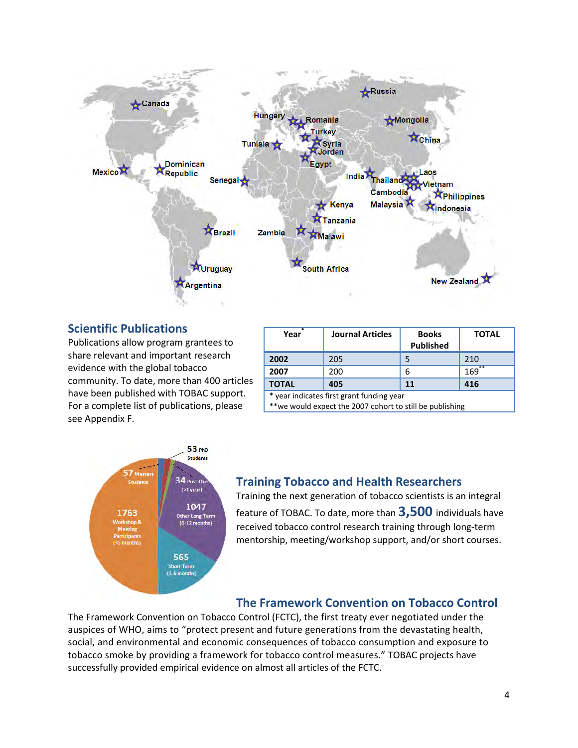

#### **Scientific Publications**

Publications allow program grantees to share relevant and important research evidence with the global tobacco community. To date, more than 400 articles have been published with TOBAC support. For a complete list of publications, please see Appendix F.

| Year                                      | <b>Journal Articles</b> | <b>Books</b><br><b>Published</b> | <b>TOTAL</b> |
|-------------------------------------------|-------------------------|----------------------------------|--------------|
| 2002                                      | 205                     | 5                                | 210          |
| 2007                                      | 200                     | 6                                | **<br>169    |
| <b>TOTAL</b>                              | 405                     | 11                               | 416          |
| * voor indicator first grant funding voor |                         |                                  |              |

year indicates first grant funding year

\*\*we would expect the 2007 cohort to still be publishing



#### **Training Tobacco and Health Researchers**

Training the next generation of tobacco scientists is an integral feature of TOBAC. To date, more than **3,500** individuals have received tobacco control research training through long-term mentorship, meeting/workshop support, and/or short courses.

# **The Framework Convention on Tobacco Control**

The Framework Convention on Tobacco Control (FCTC), the first treaty ever negotiated under the auspices of WHO, aims to "protect present and future generations from the devastating health, social, and environmental and economic consequences of tobacco consumption and exposure to tobacco smoke by providing a framework for tobacco control measures." TOBAC projects have successfully provided empirical evidence on almost all articles of the FCTC.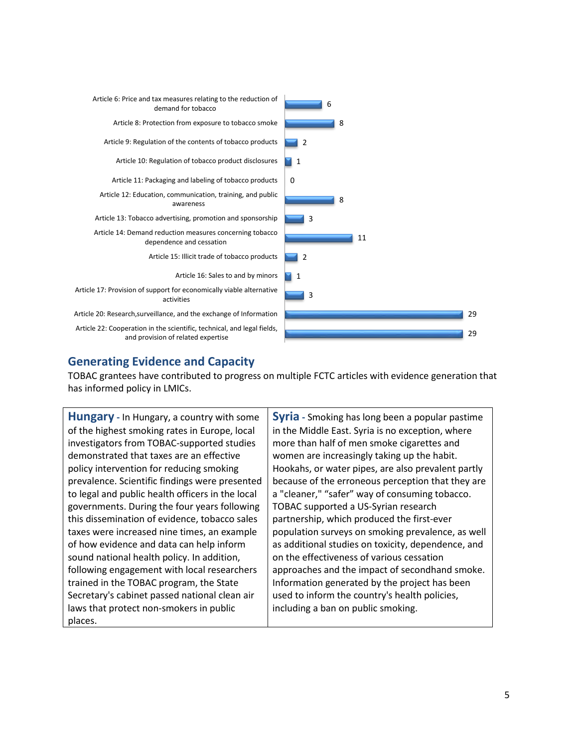

# **Generating Evidence and Capacity**

TOBAC grantees have contributed to progress on multiple FCTC articles with evidence generation that has informed policy in LMICs.

**Hungary -** In Hungary, a country with some of the highest smoking rates in Europe, local investigators from TOBAC-supported studies demonstrated that taxes are an effective policy intervention for reducing smoking prevalence. Scientific findings were presented to legal and public health officers in the local governments. During the four years following this dissemination of evidence, tobacco sales taxes were increased nine times, an example of how evidence and data can help inform sound national health policy. In addition, following engagement with local researchers trained in the TOBAC program, the State Secretary's cabinet passed national clean air laws that protect non-smokers in public places.

**Syria -** Smoking has long been a popular pastime in the Middle East. Syria is no exception, where more than half of men smoke cigarettes and women are increasingly taking up the habit. Hookahs, or water pipes, are also prevalent partly because of the erroneous perception that they are a "cleaner," "safer" way of consuming tobacco. TOBAC supported a US-Syrian research partnership, which produced the first-ever population surveys on smoking prevalence, as well as additional studies on toxicity, dependence, and on the effectiveness of various cessation approaches and the impact of secondhand smoke. Information generated by the project has been used to inform the country's health policies, including a ban on public smoking.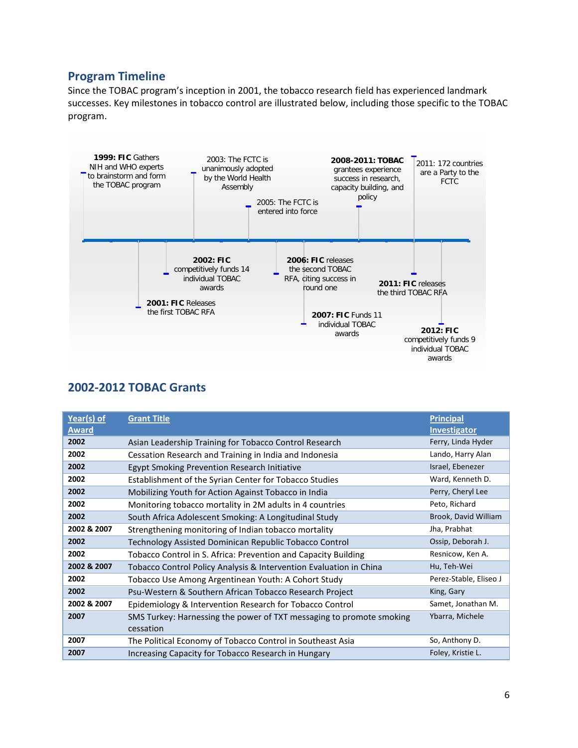## **Program Timeline**

Since the TOBAC program's inception in 2001, the tobacco research field has experienced landmark successes. Key milestones in tobacco control are illustrated below, including those specific to the TOBAC program.



### **2002-2012 TOBAC Grants**

| Year(s) of   | <b>Grant Title</b>                                                   | <b>Principal</b>       |
|--------------|----------------------------------------------------------------------|------------------------|
| <u>Award</u> |                                                                      | <b>Investigator</b>    |
| 2002         | Asian Leadership Training for Tobacco Control Research               | Ferry, Linda Hyder     |
| 2002         | Cessation Research and Training in India and Indonesia               | Lando, Harry Alan      |
| 2002         | Egypt Smoking Prevention Research Initiative                         | Israel, Ebenezer       |
| 2002         | Establishment of the Syrian Center for Tobacco Studies               | Ward, Kenneth D.       |
| 2002         | Mobilizing Youth for Action Against Tobacco in India                 | Perry, Cheryl Lee      |
| 2002         | Monitoring tobacco mortality in 2M adults in 4 countries             | Peto, Richard          |
| 2002         | South Africa Adolescent Smoking: A Longitudinal Study                | Brook, David William   |
| 2002 & 2007  | Strengthening monitoring of Indian tobacco mortality                 | Jha, Prabhat           |
| 2002         | Technology Assisted Dominican Republic Tobacco Control               | Ossip, Deborah J.      |
| 2002         | Tobacco Control in S. Africa: Prevention and Capacity Building       | Resnicow, Ken A.       |
| 2002 & 2007  | Tobacco Control Policy Analysis & Intervention Evaluation in China   | Hu, Teh-Wei            |
| 2002         | Tobacco Use Among Argentinean Youth: A Cohort Study                  | Perez-Stable, Eliseo J |
| 2002         | Psu-Western & Southern African Tobacco Research Project              | King, Gary             |
| 2002 & 2007  | Epidemiology & Intervention Research for Tobacco Control             | Samet, Jonathan M.     |
| 2007         | SMS Turkey: Harnessing the power of TXT messaging to promote smoking | Ybarra, Michele        |
|              | cessation                                                            |                        |
| 2007         | The Political Economy of Tobacco Control in Southeast Asia           | So, Anthony D.         |
| 2007         | Increasing Capacity for Tobacco Research in Hungary                  | Foley, Kristie L.      |